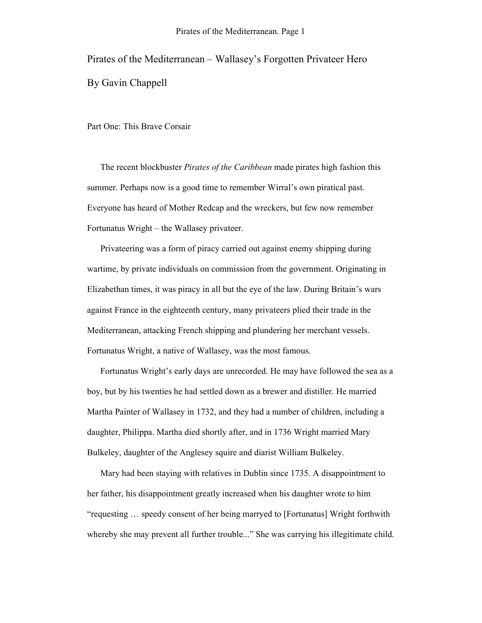Pirates of the Mediterranean – Wallasey's Forgotten Privateer Hero By Gavin Chappell

Part One: This Brave Corsair

The recent blockbuster *Pirates of the Caribbean* made pirates high fashion this summer. Perhaps now is a good time to remember Wirral's own piratical past. Everyone has heard of Mother Redcap and the wreckers, but few now remember Fortunatus Wright – the Wallasey privateer.

Privateering was a form of piracy carried out against enemy shipping during wartime, by private individuals on commission from the government. Originating in Elizabethan times, it was piracy in all but the eye of the law. During Britain's wars against France in the eighteenth century, many privateers plied their trade in the Mediterranean, attacking French shipping and plundering her merchant vessels. Fortunatus Wright, a native of Wallasey, was the most famous.

Fortunatus Wright's early days are unrecorded. He may have followed the sea as a boy, but by his twenties he had settled down as a brewer and distiller. He married Martha Painter of Wallasey in 1732, and they had a number of children, including a daughter, Philippa. Martha died shortly after, and in 1736 Wright married Mary Bulkeley, daughter of the Anglesey squire and diarist William Bulkeley.

Mary had been staying with relatives in Dublin since 1735. A disappointment to her father, his disappointment greatly increased when his daughter wrote to him "requesting … speedy consent of her being marryed to [Fortunatus] Wright forthwith whereby she may prevent all further trouble..." She was carrying his illegitimate child.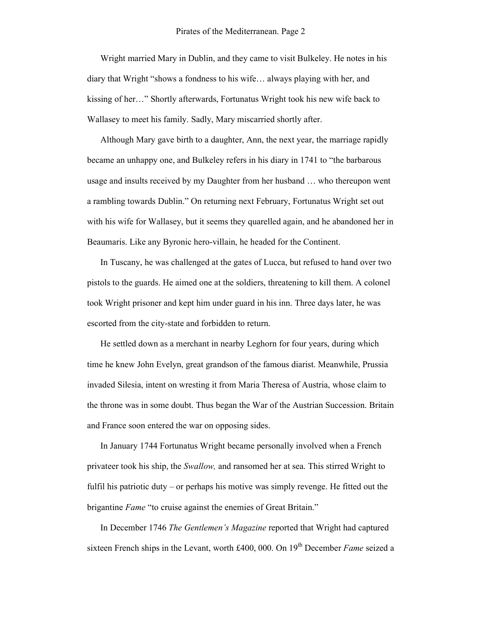Wright married Mary in Dublin, and they came to visit Bulkeley. He notes in his diary that Wright "shows a fondness to his wife… always playing with her, and kissing of her…" Shortly afterwards, Fortunatus Wright took his new wife back to Wallasey to meet his family. Sadly, Mary miscarried shortly after.

Although Mary gave birth to a daughter, Ann, the next year, the marriage rapidly became an unhappy one, and Bulkeley refers in his diary in 1741 to "the barbarous usage and insults received by my Daughter from her husband … who thereupon went a rambling towards Dublin." On returning next February, Fortunatus Wright set out with his wife for Wallasey, but it seems they quarelled again, and he abandoned her in Beaumaris. Like any Byronic hero-villain, he headed for the Continent.

In Tuscany, he was challenged at the gates of Lucca, but refused to hand over two pistols to the guards. He aimed one at the soldiers, threatening to kill them. A colonel took Wright prisoner and kept him under guard in his inn. Three days later, he was escorted from the city-state and forbidden to return.

He settled down as a merchant in nearby Leghorn for four years, during which time he knew John Evelyn, great grandson of the famous diarist. Meanwhile, Prussia invaded Silesia, intent on wresting it from Maria Theresa of Austria, whose claim to the throne was in some doubt. Thus began the War of the Austrian Succession. Britain and France soon entered the war on opposing sides.

In January 1744 Fortunatus Wright became personally involved when a French privateer took his ship, the *Swallow,* and ransomed her at sea. This stirred Wright to fulfil his patriotic duty – or perhaps his motive was simply revenge. He fitted out the brigantine *Fame* "to cruise against the enemies of Great Britain."

In December 1746 *The Gentlemen's Magazine* reported that Wright had captured sixteen French ships in the Levant, worth £400, 000. On 19<sup>th</sup> December *Fame* seized a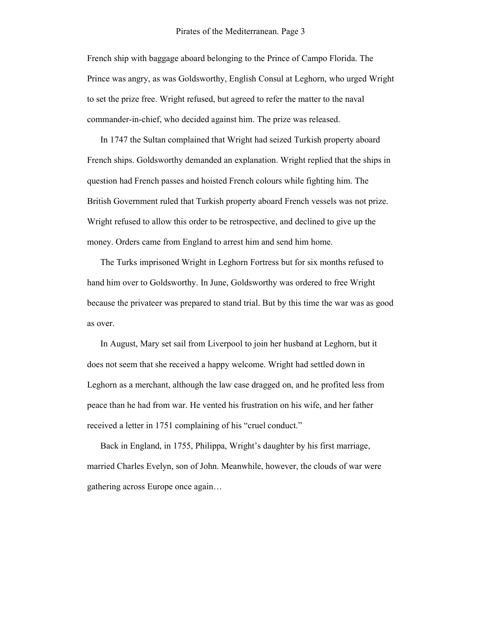French ship with baggage aboard belonging to the Prince of Campo Florida. The Prince was angry, as was Goldsworthy, English Consul at Leghorn, who urged Wright to set the prize free. Wright refused, but agreed to refer the matter to the naval commander-in-chief, who decided against him. The prize was released.

In 1747 the Sultan complained that Wright had seized Turkish property aboard French ships. Goldsworthy demanded an explanation. Wright replied that the ships in question had French passes and hoisted French colours while fighting him. The British Government ruled that Turkish property aboard French vessels was not prize. Wright refused to allow this order to be retrospective, and declined to give up the money. Orders came from England to arrest him and send him home.

The Turks imprisoned Wright in Leghorn Fortress but for six months refused to hand him over to Goldsworthy. In June, Goldsworthy was ordered to free Wright because the privateer was prepared to stand trial. But by this time the war was as good as over.

In August, Mary set sail from Liverpool to join her husband at Leghorn, but it does not seem that she received a happy welcome. Wright had settled down in Leghorn as a merchant, although the law case dragged on, and he profited less from peace than he had from war. He vented his frustration on his wife, and her father received a letter in 1751 complaining of his "cruel conduct."

Back in England, in 1755, Philippa, Wright's daughter by his first marriage, married Charles Evelyn, son of John. Meanwhile, however, the clouds of war were gathering across Europe once again…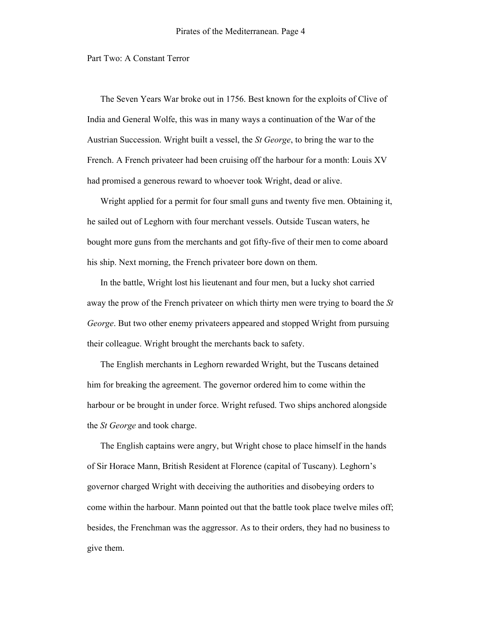Part Two: A Constant Terror

The Seven Years War broke out in 1756. Best known for the exploits of Clive of India and General Wolfe, this was in many ways a continuation of the War of the Austrian Succession. Wright built a vessel, the *St George*, to bring the war to the French. A French privateer had been cruising off the harbour for a month: Louis XV had promised a generous reward to whoever took Wright, dead or alive.

Wright applied for a permit for four small guns and twenty five men. Obtaining it, he sailed out of Leghorn with four merchant vessels. Outside Tuscan waters, he bought more guns from the merchants and got fifty-five of their men to come aboard his ship. Next morning, the French privateer bore down on them.

In the battle, Wright lost his lieutenant and four men, but a lucky shot carried away the prow of the French privateer on which thirty men were trying to board the *St George*. But two other enemy privateers appeared and stopped Wright from pursuing their colleague. Wright brought the merchants back to safety.

The English merchants in Leghorn rewarded Wright, but the Tuscans detained him for breaking the agreement. The governor ordered him to come within the harbour or be brought in under force. Wright refused. Two ships anchored alongside the *St George* and took charge.

The English captains were angry, but Wright chose to place himself in the hands of Sir Horace Mann, British Resident at Florence (capital of Tuscany). Leghorn's governor charged Wright with deceiving the authorities and disobeying orders to come within the harbour. Mann pointed out that the battle took place twelve miles off; besides, the Frenchman was the aggressor. As to their orders, they had no business to give them.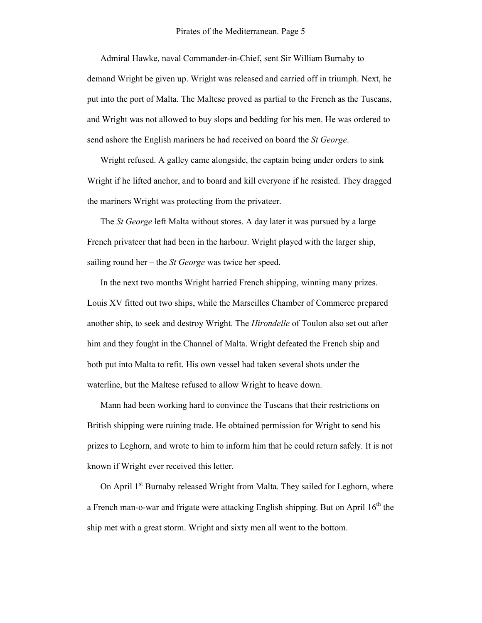Admiral Hawke, naval Commander-in-Chief, sent Sir William Burnaby to demand Wright be given up. Wright was released and carried off in triumph. Next, he put into the port of Malta. The Maltese proved as partial to the French as the Tuscans, and Wright was not allowed to buy slops and bedding for his men. He was ordered to send ashore the English mariners he had received on board the *St George*.

Wright refused. A galley came alongside, the captain being under orders to sink Wright if he lifted anchor, and to board and kill everyone if he resisted. They dragged the mariners Wright was protecting from the privateer.

The *St George* left Malta without stores. A day later it was pursued by a large French privateer that had been in the harbour. Wright played with the larger ship, sailing round her – the *St George* was twice her speed.

In the next two months Wright harried French shipping, winning many prizes. Louis XV fitted out two ships, while the Marseilles Chamber of Commerce prepared another ship, to seek and destroy Wright. The *Hirondelle* of Toulon also set out after him and they fought in the Channel of Malta. Wright defeated the French ship and both put into Malta to refit. His own vessel had taken several shots under the waterline, but the Maltese refused to allow Wright to heave down.

Mann had been working hard to convince the Tuscans that their restrictions on British shipping were ruining trade. He obtained permission for Wright to send his prizes to Leghorn, and wrote to him to inform him that he could return safely. It is not known if Wright ever received this letter.

On April 1<sup>st</sup> Burnaby released Wright from Malta. They sailed for Leghorn, where a French man-o-war and frigate were attacking English shipping. But on April  $16<sup>th</sup>$  the ship met with a great storm. Wright and sixty men all went to the bottom.